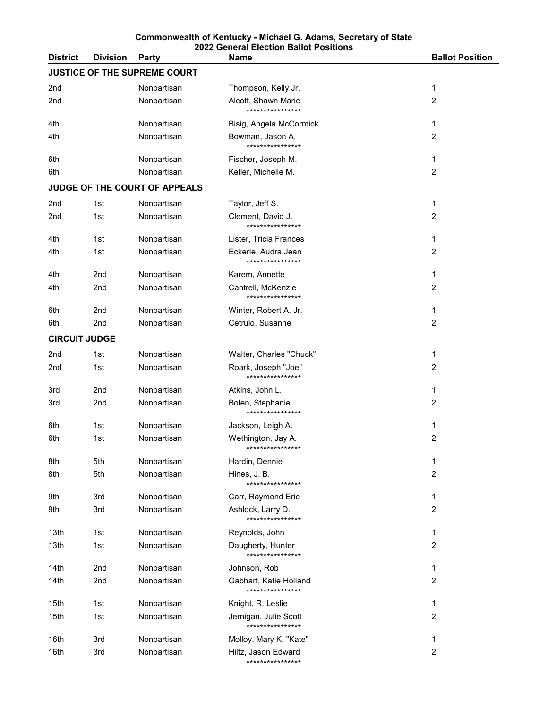| <b>District</b>              | <b>Division</b> | <b>Party</b>                  | <b>Name</b>                                | <b>Ballot Position</b> |  |  |
|------------------------------|-----------------|-------------------------------|--------------------------------------------|------------------------|--|--|
| JUSTICE OF THE SUPREME COURT |                 |                               |                                            |                        |  |  |
| 2nd                          |                 | Nonpartisan                   | Thompson, Kelly Jr.                        | 1                      |  |  |
| 2nd                          |                 | Nonpartisan                   | Alcott, Shawn Marie<br>****************    | 2                      |  |  |
| 4th                          |                 | Nonpartisan                   | Bisig, Angela McCormick                    | 1                      |  |  |
| 4th                          |                 | Nonpartisan                   | Bowman, Jason A.<br>****************       | 2                      |  |  |
| 6th                          |                 | Nonpartisan                   | Fischer, Joseph M.                         | 1                      |  |  |
| 6th                          |                 | Nonpartisan                   | Keller, Michelle M.                        | 2                      |  |  |
|                              |                 | JUDGE OF THE COURT OF APPEALS |                                            |                        |  |  |
| 2nd                          | 1st             | Nonpartisan                   | Taylor, Jeff S.                            | 1                      |  |  |
| 2nd                          | 1st             | Nonpartisan                   | Clement, David J.<br>****************      | 2                      |  |  |
| 4th                          | 1st             | Nonpartisan                   | Lister, Tricia Frances                     | 1                      |  |  |
| 4th                          | 1st             | Nonpartisan                   | Eckerle, Audra Jean<br>****************    | 2                      |  |  |
| 4th                          | 2 <sub>nd</sub> | Nonpartisan                   | Karem, Annette                             | 1                      |  |  |
| 4th                          | 2nd             | Nonpartisan                   | Cantrell, McKenzie<br>****************     | 2                      |  |  |
| 6th                          | 2nd             | Nonpartisan                   | Winter, Robert A. Jr.                      | 1                      |  |  |
| 6th                          | 2nd             | Nonpartisan                   | Cetrulo, Susanne                           | 2                      |  |  |
| <b>CIRCUIT JUDGE</b>         |                 |                               |                                            |                        |  |  |
| 2nd                          | 1st             | Nonpartisan                   | Walter, Charles "Chuck"                    | 1                      |  |  |
| 2nd                          | 1st             | Nonpartisan                   | Roark, Joseph "Joe"<br>****************    | 2                      |  |  |
| 3rd                          | 2 <sub>nd</sub> | Nonpartisan                   | Atkins, John L.                            | 1                      |  |  |
| 3rd                          | 2nd             | Nonpartisan                   | Bolen, Stephanie<br>****************       | 2                      |  |  |
| 6th                          | 1st             | Nonpartisan                   | Jackson, Leigh A.                          | 1                      |  |  |
| 6th                          | 1st             | Nonpartisan                   | Wethington, Jay A.<br>****************     | 2                      |  |  |
| 8th                          | 5th             | Nonpartisan                   | Hardin, Dennie                             | 1                      |  |  |
| 8th                          | 5th             | Nonpartisan                   | Hines, J. B.<br>****************           | 2                      |  |  |
| 9th                          | 3rd             | Nonpartisan                   | Carr, Raymond Eric                         | 1                      |  |  |
| 9th                          | 3rd             | Nonpartisan                   | Ashlock, Larry D.<br>****************      | 2                      |  |  |
| 13th                         | 1st             | Nonpartisan                   | Reynolds, John                             | 1                      |  |  |
| 13th                         | 1st             | Nonpartisan                   | Daugherty, Hunter<br>****************      | 2                      |  |  |
| 14th                         | 2nd             | Nonpartisan                   | Johnson, Rob                               | 1                      |  |  |
| 14th                         | 2nd             | Nonpartisan                   | Gabhart, Katie Holland<br>**************** | 2                      |  |  |
| 15th                         | 1st             | Nonpartisan                   | Knight, R. Leslie                          | 1                      |  |  |
| 15th                         | 1st             | Nonpartisan                   | Jernigan, Julie Scott<br>****************  | 2                      |  |  |
| 16th                         | 3rd             | Nonpartisan                   | Molloy, Mary K. "Kate"                     | 1                      |  |  |
| 16th                         | 3rd             | Nonpartisan                   | Hiltz, Jason Edward<br>****************    | 2                      |  |  |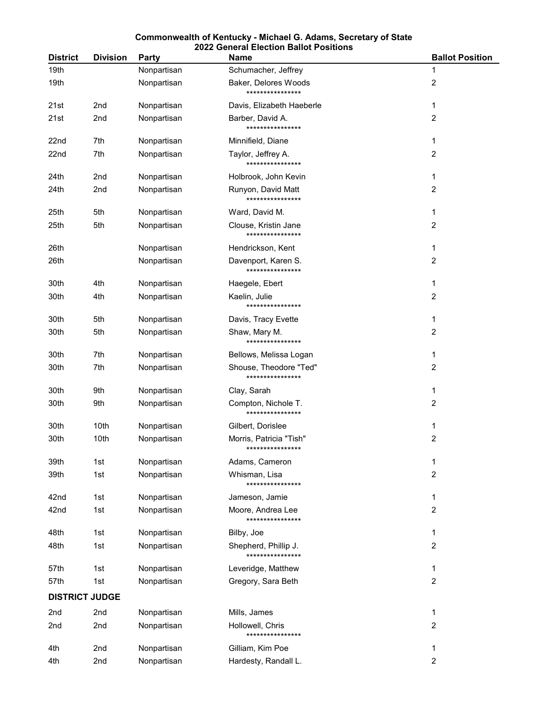| <b>District</b>       | <b>Division</b> | Party       | <b>Name</b>                                 | <b>Ballot Position</b> |  |
|-----------------------|-----------------|-------------|---------------------------------------------|------------------------|--|
| 19th                  |                 | Nonpartisan | Schumacher, Jeffrey                         | 1                      |  |
| 19th                  |                 | Nonpartisan | Baker, Delores Woods<br>****************    | 2                      |  |
| 21st                  | 2nd             | Nonpartisan | Davis, Elizabeth Haeberle                   | 1                      |  |
| 21st                  | 2nd             | Nonpartisan | Barber, David A.<br>****************        | 2                      |  |
| 22 <sub>nd</sub>      | 7th             | Nonpartisan | Minnifield, Diane                           | 1                      |  |
| 22nd                  | 7th             | Nonpartisan | Taylor, Jeffrey A.<br>****************      | 2                      |  |
| 24th                  | 2nd             | Nonpartisan | Holbrook, John Kevin                        | 1                      |  |
| 24th                  | 2nd             | Nonpartisan | Runyon, David Matt<br>****************      | 2                      |  |
| 25th                  | 5th             | Nonpartisan | Ward, David M.                              | 1                      |  |
| 25th                  | 5th             | Nonpartisan | Clouse, Kristin Jane<br>****************    | 2                      |  |
| 26th                  |                 | Nonpartisan | Hendrickson, Kent                           | 1                      |  |
| 26th                  |                 | Nonpartisan | Davenport, Karen S.<br>****************     | 2                      |  |
| 30th                  | 4th             | Nonpartisan | Haegele, Ebert                              | 1                      |  |
| 30th                  | 4th             | Nonpartisan | Kaelin, Julie<br>****************           | 2                      |  |
| 30th                  | 5th             | Nonpartisan | Davis, Tracy Evette                         | 1                      |  |
| 30th                  | 5th             | Nonpartisan | Shaw, Mary M.<br>****************           | 2                      |  |
| 30th                  | 7th             | Nonpartisan | Bellows, Melissa Logan                      | 1                      |  |
| 30th                  | 7th             | Nonpartisan | Shouse, Theodore "Ted"<br>****************  | 2                      |  |
| 30th                  | 9th             | Nonpartisan | Clay, Sarah                                 | 1                      |  |
| 30th                  | 9th             | Nonpartisan | Compton, Nichole T.<br>****************     | 2                      |  |
| 30th                  | 10th            | Nonpartisan | Gilbert, Dorislee                           | 1                      |  |
| 30th                  | 10th            | Nonpartisan | Morris, Patricia "Tish"<br>**************** | 2                      |  |
| 39th                  | 1st             | Nonpartisan | Adams, Cameron                              | 1                      |  |
| 39th                  | 1st             | Nonpartisan | Whisman, Lisa<br>****************           | $\overline{c}$         |  |
| 42nd                  | 1st             | Nonpartisan | Jameson, Jamie                              | 1                      |  |
| 42nd                  | 1st             | Nonpartisan | Moore, Andrea Lee<br>****************       | 2                      |  |
| 48th                  | 1st             | Nonpartisan | Bilby, Joe                                  | 1                      |  |
| 48th                  | 1st             | Nonpartisan | Shepherd, Phillip J.<br>****************    | 2                      |  |
| 57th                  | 1st             | Nonpartisan | Leveridge, Matthew                          | 1                      |  |
| 57th                  | 1st             | Nonpartisan | Gregory, Sara Beth                          | 2                      |  |
| <b>DISTRICT JUDGE</b> |                 |             |                                             |                        |  |
| 2nd                   | 2nd             | Nonpartisan | Mills, James                                | 1                      |  |
| 2nd                   | 2nd             | Nonpartisan | Hollowell, Chris<br>****************        | 2                      |  |
| 4th                   | 2nd             | Nonpartisan | Gilliam, Kim Poe                            | 1                      |  |
| 4th                   | 2nd             | Nonpartisan | Hardesty, Randall L.                        | $\overline{2}$         |  |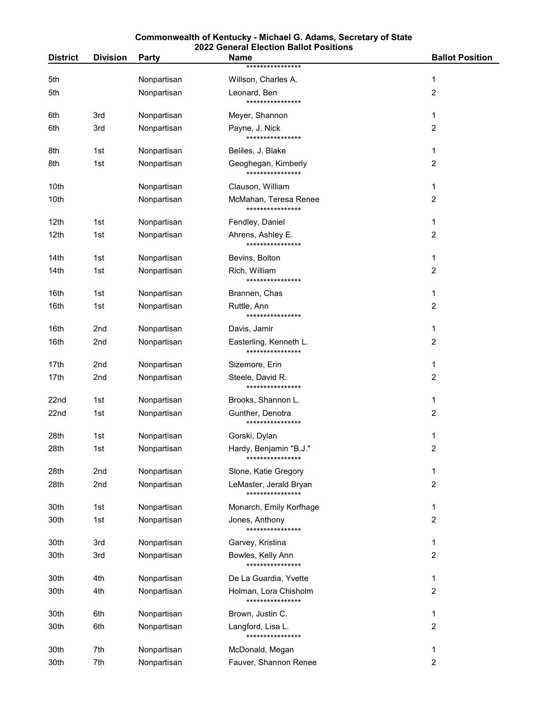|                  |                 |                            | <b>2022 General Election Ballot Positions</b> |                        |  |
|------------------|-----------------|----------------------------|-----------------------------------------------|------------------------|--|
| <b>District</b>  | <b>Division</b> | <b>Party</b>               | <b>Name</b><br>****************               | <b>Ballot Position</b> |  |
| 5th              |                 | Nonpartisan                | Willson, Charles A.                           | 1                      |  |
| 5th              |                 | Nonpartisan                | Leonard, Ben                                  | 2                      |  |
|                  |                 |                            | ****************                              |                        |  |
| 6th              | 3rd             | Nonpartisan                | Meyer, Shannon                                | 1                      |  |
| 6th              | 3rd             | Nonpartisan                | Payne, J. Nick<br>****************            | 2                      |  |
| 8th              | 1st             | Nonpartisan                | Beliles, J. Blake                             | 1                      |  |
| 8th              | 1st             | Nonpartisan                | Geoghegan, Kimberly                           | 2                      |  |
|                  |                 |                            | ****************                              |                        |  |
| 10th             |                 | Nonpartisan                | Clauson, William                              | 1                      |  |
| 10th             |                 | Nonpartisan                | McMahan, Teresa Renee<br>****************     | 2                      |  |
| 12th             | 1st             | Nonpartisan                | Fendley, Daniel                               | 1                      |  |
| 12th             | 1st             | Nonpartisan                | Ahrens, Ashley E.                             | 2                      |  |
|                  |                 |                            | ****************                              |                        |  |
| 14th             | 1st             | Nonpartisan                | Bevins, Bolton                                | 1                      |  |
| 14th             | 1st             | Nonpartisan                | Rich, William<br>****************             | 2                      |  |
| 16th             | 1st             | Nonpartisan                | Brannen, Chas                                 | 1                      |  |
| 16th             | 1st             | Nonpartisan                | Ruttle, Ann                                   | 2                      |  |
|                  |                 |                            | ****************                              |                        |  |
| 16th<br>16th     | 2nd<br>2nd      | Nonpartisan<br>Nonpartisan | Davis, Jamir<br>Easterling, Kenneth L.        | 1<br>2                 |  |
|                  |                 |                            | ****************                              |                        |  |
| 17th             | 2nd             | Nonpartisan                | Sizemore, Erin                                | 1                      |  |
| 17th             | 2nd             | Nonpartisan                | Steele, David R.<br>****************          | 2                      |  |
| 22nd             | 1st             | Nonpartisan                | Brooks, Shannon L.                            | 1                      |  |
| 22 <sub>nd</sub> | 1st             | Nonpartisan                | Gunther, Denotra<br>****************          | 2                      |  |
| 28th             | 1st             | Nonpartisan                | Gorski, Dylan                                 | 1                      |  |
| 28th             | 1st             | Nonpartisan                | Hardy, Benjamin "B.J."                        | 2                      |  |
|                  |                 |                            | ****************                              |                        |  |
| 28th             | 2nd             | Nonpartisan                | Slone, Katie Gregory                          | 1                      |  |
| 28th             | 2nd             | Nonpartisan                | LeMaster, Jerald Bryan<br>****************    | $\overline{2}$         |  |
| 30th             | 1st             | Nonpartisan                | Monarch, Emily Korfhage                       | 1                      |  |
| 30th             | 1st             | Nonpartisan                | Jones, Anthony                                | 2                      |  |
|                  |                 |                            | ****************                              |                        |  |
| 30th<br>30th     | 3rd<br>3rd      | Nonpartisan<br>Nonpartisan | Garvey, Kristina                              | 1<br>2                 |  |
|                  |                 |                            | Bowles, Kelly Ann<br>****************         |                        |  |
| 30th             | 4th             | Nonpartisan                | De La Guardia, Yvette                         | 1                      |  |
| 30th             | 4th             | Nonpartisan                | Holman, Lora Chisholm                         | 2                      |  |
| 30th             | 6th             | Nonpartisan                | ****************<br>Brown, Justin C.          | 1                      |  |
| 30th             | 6th             | Nonpartisan                | Langford, Lisa L.                             | 2                      |  |
|                  |                 |                            | ****************                              |                        |  |
| 30th             | 7th             | Nonpartisan                | McDonald, Megan                               | 1                      |  |
| 30th             | 7th             | Nonpartisan                | Fauver, Shannon Renee                         | 2                      |  |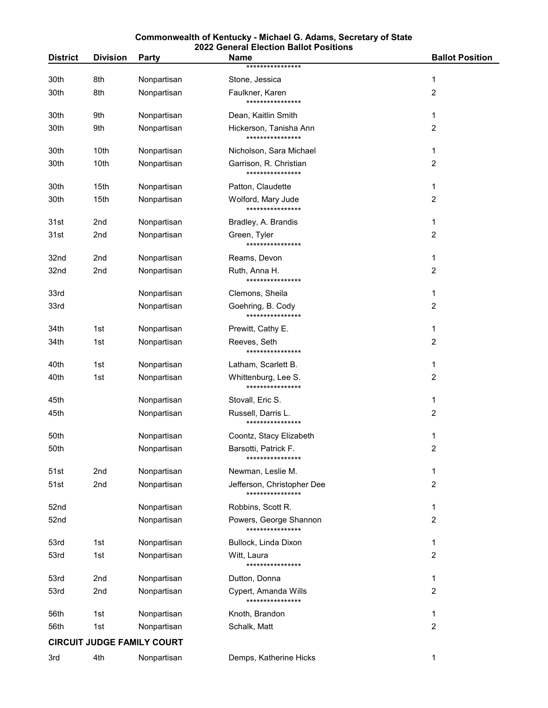| <b>District</b>                   | <b>Division</b> |              | <b>2022 General Election Ballot Positions</b><br><b>Name</b> | <b>Ballot Position</b> |  |
|-----------------------------------|-----------------|--------------|--------------------------------------------------------------|------------------------|--|
|                                   |                 | <b>Party</b> | ****************                                             |                        |  |
| 30th                              | 8th             | Nonpartisan  | Stone, Jessica                                               | 1                      |  |
| 30th                              | 8th             | Nonpartisan  | Faulkner, Karen<br>****************                          | 2                      |  |
| 30th                              | 9th             | Nonpartisan  | Dean, Kaitlin Smith                                          | 1                      |  |
| 30th                              | 9th             | Nonpartisan  | Hickerson, Tanisha Ann<br>****************                   | 2                      |  |
| 30th                              | 10th            | Nonpartisan  | Nicholson, Sara Michael                                      | 1                      |  |
| 30th                              | 10th            | Nonpartisan  | Garrison, R. Christian<br>****************                   | 2                      |  |
| 30th                              | 15th            | Nonpartisan  | Patton, Claudette                                            | 1                      |  |
| 30th                              | 15th            | Nonpartisan  | Wolford, Mary Jude<br>****************                       | 2                      |  |
| 31st                              | 2nd             | Nonpartisan  | Bradley, A. Brandis                                          | 1                      |  |
| 31st                              | 2nd             | Nonpartisan  | Green, Tyler<br>****************                             | 2                      |  |
| 32nd                              | 2nd             | Nonpartisan  | Reams, Devon                                                 | 1                      |  |
| 32nd                              | 2nd             | Nonpartisan  | Ruth, Anna H.<br>****************                            | 2                      |  |
| 33rd                              |                 | Nonpartisan  | Clemons, Sheila                                              | 1                      |  |
| 33rd                              |                 | Nonpartisan  | Goehring, B. Cody<br>****************                        | 2                      |  |
| 34th                              | 1st             | Nonpartisan  | Prewitt, Cathy E.                                            | 1                      |  |
| 34th                              | 1st             | Nonpartisan  | Reeves, Seth<br>****************                             | 2                      |  |
| 40th                              | 1st             | Nonpartisan  | Latham, Scarlett B.                                          | 1                      |  |
| 40th                              | 1st             | Nonpartisan  | Whittenburg, Lee S.<br>****************                      | 2                      |  |
| 45th                              |                 | Nonpartisan  | Stovall, Eric S.                                             | 1                      |  |
| 45th                              |                 | Nonpartisan  | Russell, Darris L.<br>****************                       | 2                      |  |
| 50th                              |                 | Nonpartisan  | Coontz, Stacy Elizabeth                                      | 1                      |  |
| 50th                              |                 | Nonpartisan  | Barsotti, Patrick F.<br>****************                     | 2                      |  |
| 51st                              | 2nd             | Nonpartisan  | Newman, Leslie M.                                            | 1                      |  |
| 51st                              | 2nd             | Nonpartisan  | Jefferson, Christopher Dee<br>****************               | $\overline{2}$         |  |
| 52nd                              |                 | Nonpartisan  | Robbins, Scott R.                                            | 1                      |  |
| 52nd                              |                 | Nonpartisan  | Powers, George Shannon<br>****************                   | 2                      |  |
| 53rd                              | 1st             | Nonpartisan  | Bullock, Linda Dixon                                         | 1                      |  |
| 53rd                              | 1st             | Nonpartisan  | Witt, Laura<br>****************                              | 2                      |  |
| 53rd                              | 2nd             | Nonpartisan  | Dutton, Donna                                                | 1                      |  |
| 53rd                              | 2nd             | Nonpartisan  | Cypert, Amanda Wills<br>****************                     | 2                      |  |
| 56th                              | 1st             | Nonpartisan  | Knoth, Brandon                                               | 1                      |  |
| 56th                              | 1st             | Nonpartisan  | Schalk, Matt                                                 | 2                      |  |
| <b>CIRCUIT JUDGE FAMILY COURT</b> |                 |              |                                                              |                        |  |

| 3rd | 4th | Nonpartisan | Demps, Katherine Hicks |  |
|-----|-----|-------------|------------------------|--|
|     |     |             |                        |  |